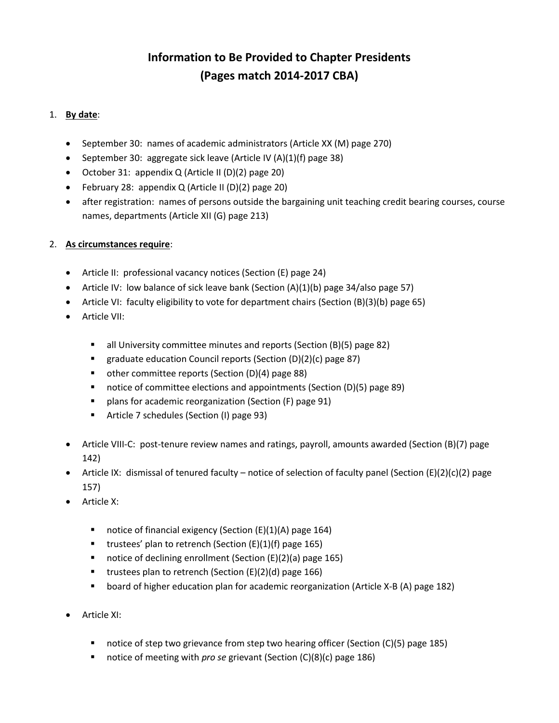## **Information to Be Provided to Chapter Presidents (Pages match 2014-2017 CBA)**

## 1. **By date**:

- September 30: names of academic administrators (Article XX (M) page 270)
- September 30: aggregate sick leave (Article IV (A)(1)(f) page 38)
- October 31: appendix Q (Article II (D)(2) page 20)
- February 28: appendix Q (Article II (D)(2) page 20)
- after registration: names of persons outside the bargaining unit teaching credit bearing courses, course names, departments (Article XII (G) page 213)

## 2. **As circumstances require**:

- Article II: professional vacancy notices (Section (E) page 24)
- Article IV: low balance of sick leave bank (Section  $(A)(1)(b)$  page 34/also page 57)
- Article VI: faculty eligibility to vote for department chairs (Section (B)(3)(b) page 65)
- Article VII:
	- all University committee minutes and reports (Section (B)(5) page 82)
	- graduate education Council reports (Section (D)(2)(c) page 87)
	- other committee reports (Section (D)(4) page 88)
	- notice of committee elections and appointments (Section (D)(5) page 89)
	- **•** plans for academic reorganization (Section (F) page 91)
	- **F** Article 7 schedules (Section (I) page 93)
- Article VIII-C: post-tenure review names and ratings, payroll, amounts awarded (Section (B)(7) page 142)
- Article IX: dismissal of tenured faculty notice of selection of faculty panel (Section (E)(2)(c)(2) page 157)
- Article X:
	- notice of financial exigency (Section (E)(1)(A) page 164)
	- **trustees' plan to retrench (Section (E)(1)(f) page 165)**
	- notice of declining enrollment (Section (E)(2)(a) page 165)
	- **u** trustees plan to retrench (Section  $(E)(2)(d)$  page 166)
	- board of higher education plan for academic reorganization (Article X-B (A) page 182)
- Article XI:
	- notice of step two grievance from step two hearing officer (Section (C)(5) page 185)
	- notice of meeting with *pro se* grievant (Section (C)(8)(c) page 186)